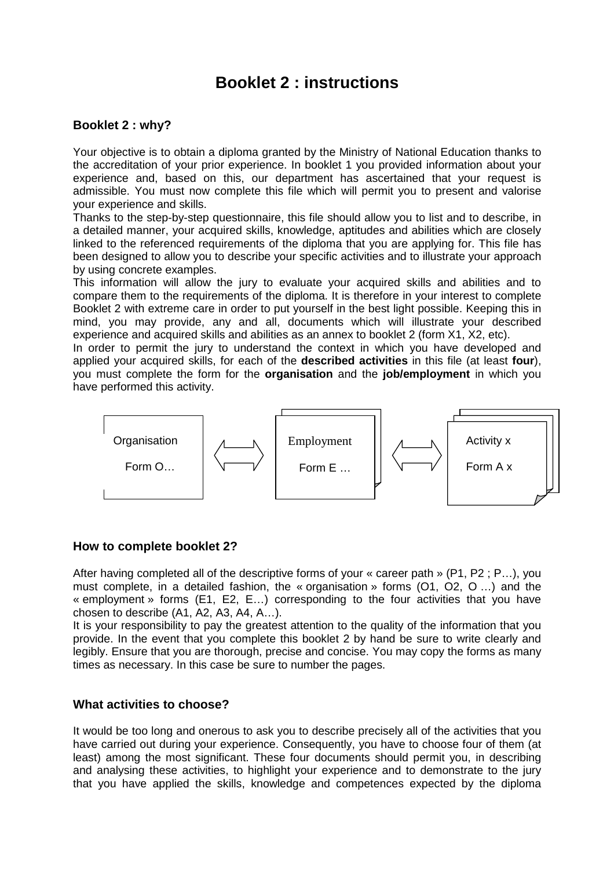# **Booklet 2 : instructions**

## **Booklet 2 : why?**

Your objective is to obtain a diploma granted by the Ministry of National Education thanks to the accreditation of your prior experience. In booklet 1 you provided information about your experience and, based on this, our department has ascertained that your request is admissible. You must now complete this file which will permit you to present and valorise your experience and skills.

Thanks to the step-by-step questionnaire, this file should allow you to list and to describe, in a detailed manner, your acquired skills, knowledge, aptitudes and abilities which are closely linked to the referenced requirements of the diploma that you are applying for. This file has been designed to allow you to describe your specific activities and to illustrate your approach by using concrete examples.

This information will allow the jury to evaluate your acquired skills and abilities and to compare them to the requirements of the diploma. It is therefore in your interest to complete Booklet 2 with extreme care in order to put yourself in the best light possible. Keeping this in mind, you may provide, any and all, documents which will illustrate your described experience and acquired skills and abilities as an annex to booklet 2 (form X1, X2, etc).

In order to permit the jury to understand the context in which you have developed and applied your acquired skills, for each of the **described activities** in this file (at least **four**), you must complete the form for the **organisation** and the **job/employment** in which you have performed this activity.



#### **How to complete booklet 2?**

After having completed all of the descriptive forms of your « career path » (P1, P2 ; P…), you must complete, in a detailed fashion, the « organisation » forms (O1, O2, O …) and the « employment » forms (E1, E2, E…) corresponding to the four activities that you have chosen to describe (A1, A2, A3, A4, A…).

It is your responsibility to pay the greatest attention to the quality of the information that you provide. In the event that you complete this booklet 2 by hand be sure to write clearly and legibly. Ensure that you are thorough, precise and concise. You may copy the forms as many times as necessary. In this case be sure to number the pages.

### **What activities to choose?**

It would be too long and onerous to ask you to describe precisely all of the activities that you have carried out during your experience. Consequently, you have to choose four of them (at least) among the most significant. These four documents should permit you, in describing and analysing these activities, to highlight your experience and to demonstrate to the jury that you have applied the skills, knowledge and competences expected by the diploma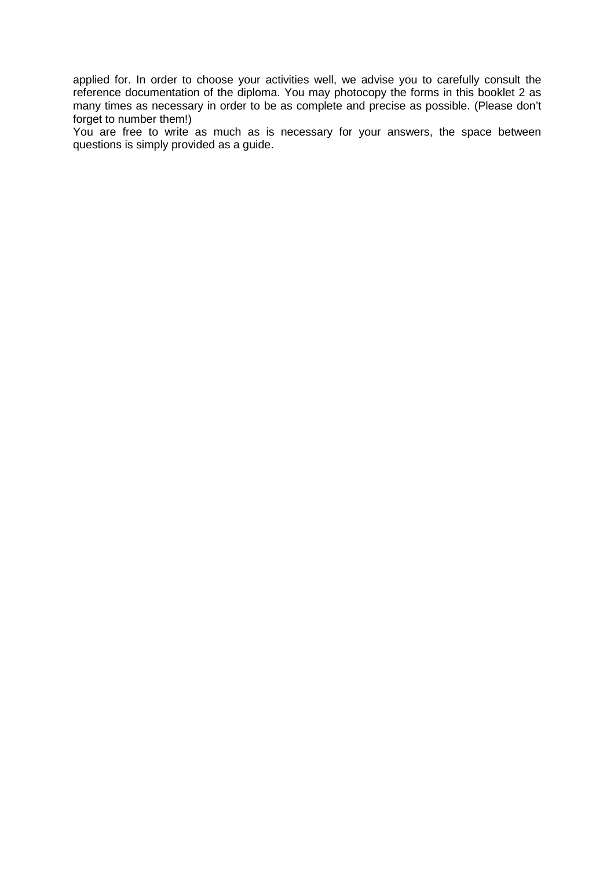applied for. In order to choose your activities well, we advise you to carefully consult the reference documentation of the diploma. You may photocopy the forms in this booklet 2 as many times as necessary in order to be as complete and precise as possible. (Please don't forget to number them!)

You are free to write as much as is necessary for your answers, the space between questions is simply provided as a guide.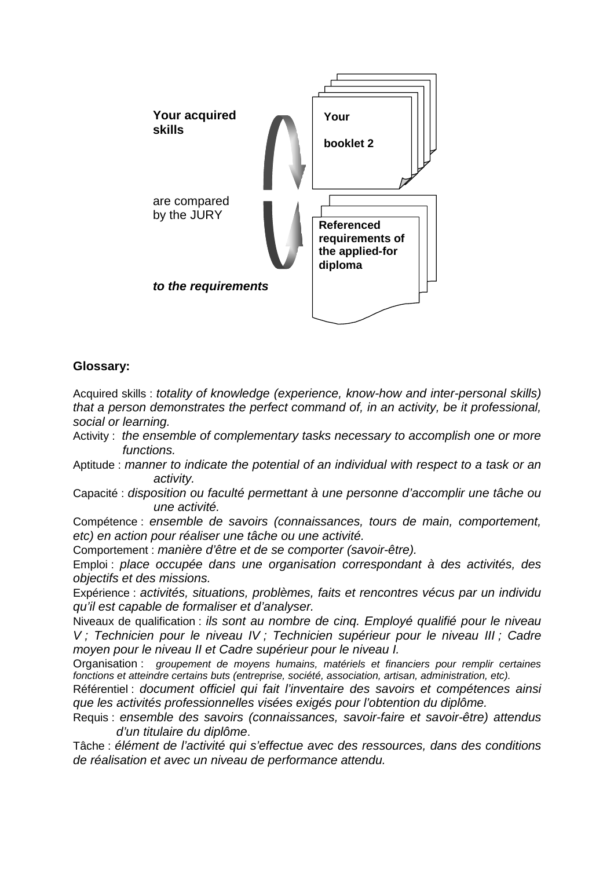

# **Glossary:**

Acquired skills : totality of knowledge (experience, know-how and inter-personal skills) that a person demonstrates the perfect command of, in an activity, be it professional, social or learning.

- Activity: the ensemble of complementary tasks necessary to accomplish one or more functions.
- Aptitude : manner to indicate the potential of an individual with respect to a task or an activity.
- Capacité : disposition ou faculté permettant à une personne d'accomplir une tâche ou une activité.

Compétence : ensemble de savoirs (connaissances, tours de main, comportement, etc) en action pour réaliser une tâche ou une activité.

Comportement : manière d'être et de se comporter (savoir-être).

Emploi : place occupée dans une organisation correspondant à des activités, des objectifs et des missions.

Expérience : activités, situations, problèmes, faits et rencontres vécus par un individu qu'il est capable de formaliser et d'analyser.

Niveaux de qualification : ils sont au nombre de cinq. Employé qualifié pour le niveau V ; Technicien pour le niveau IV ; Technicien supérieur pour le niveau III ; Cadre moyen pour le niveau II et Cadre supérieur pour le niveau I.

Organisation : groupement de moyens humains, matériels et financiers pour remplir certaines fonctions et atteindre certains buts (entreprise, société, association, artisan, administration, etc).

Référentiel : document officiel qui fait l'inventaire des savoirs et compétences ainsi que les activités professionnelles visées exigés pour l'obtention du diplôme.

Requis : ensemble des savoirs (connaissances, savoir-faire et savoir-être) attendus d'un titulaire du diplôme.

Tâche : élément de l'activité qui s'effectue avec des ressources, dans des conditions de réalisation et avec un niveau de performance attendu.